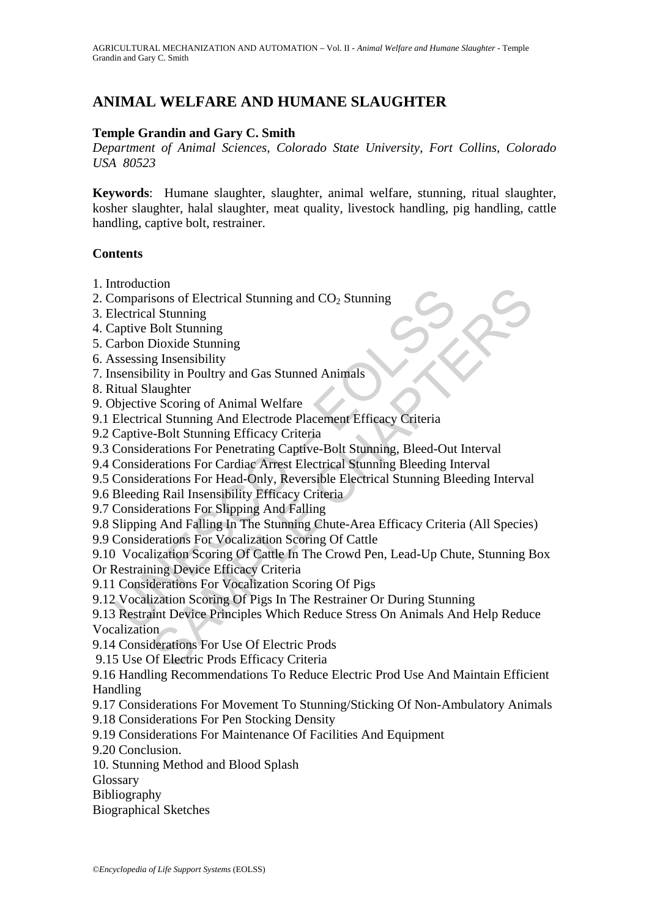# **ANIMAL WELFARE AND HUMANE SLAUGHTER**

## **Temple Grandin and Gary C. Smith**

*Department of Animal Sciences, Colorado State University, Fort Collins, Colorado USA 80523*

**Keywords**: Humane slaughter, slaughter, animal welfare, stunning, ritual slaughter, kosher slaughter, halal slaughter, meat quality, livestock handling, pig handling, cattle handling, captive bolt, restrainer.

#### **Contents**

- 1. Introduction
- 2. Comparisons of Electrical Stunning and  $CO<sub>2</sub>$  Stunning
- 3. Electrical Stunning
- 4. Captive Bolt Stunning
- 5. Carbon Dioxide Stunning
- 6. Assessing Insensibility
- 7. Insensibility in Poultry and Gas Stunned Animals
- 8. Ritual Slaughter
- 9. Objective Scoring of Animal Welfare
- 9.1 Electrical Stunning And Electrode Placement Efficacy Criteria
- 9.2 Captive-Bolt Stunning Efficacy Criteria
- 9.3 Considerations For Penetrating Captive-Bolt Stunning, Bleed-Out Interval
- 9.4 Considerations For Cardiac Arrest Electrical Stunning Bleeding Interval
- 9.5 Considerations For Head-Only, Reversible Electrical Stunning Bleeding Interval
- 9.6 Bleeding Rail Insensibility Efficacy Criteria
- 9.7 Considerations For Slipping And Falling
- 9.8 Slipping And Falling In The Stunning Chute-Area Efficacy Criteria (All Species)
- 9.9 Considerations For Vocalization Scoring Of Cattle

Comparisons of Electrical Stunning and CO<sub>2</sub> Stunning<br>
lectrical Stunning<br>
lectrical Stunning<br>
arbive Bolt Stunning<br>
sensisiplity<br>
sensisiplity<br>
sensisiplity<br>
sensisibility in Poultry and Gas Stunned Animals<br>
itual Slaught 9.10 Vocalization Scoring Of Cattle In The Crowd Pen, Lead-Up Chute, Stunning Box Or Restraining Device Efficacy Criteria

- 9.11 Considerations For Vocalization Scoring Of Pigs
- 9.12 Vocalization Scoring Of Pigs In The Restrainer Or During Stunning

non<br>
Sons of Electrical Stunning and CO<sub>2</sub> Stunning<br>
Bolt Stunning<br>
Bolt Stunning<br>
Bolt Stunning<br>
Ility in Poultry and Gas Stunned Animals<br>
Ility in Poultry and Gas Stunned Animals<br>
according Captive-Bolt Stunning<br>
e. Scor 9.13 Restraint Device Principles Which Reduce Stress On Animals And Help Reduce **Vocalization** 

- 9.14 Considerations For Use Of Electric Prods
- 9.15 Use Of Electric Prods Efficacy Criteria
- 9.16 Handling Recommendations To Reduce Electric Prod Use And Maintain Efficient Handling
- 9.17 Considerations For Movement To Stunning/Sticking Of Non-Ambulatory Animals
- 9.18 Considerations For Pen Stocking Density
- 9.19 Considerations For Maintenance Of Facilities And Equipment

9.20 Conclusion.

- 10. Stunning Method and Blood Splash
- Glossary
- Bibliography
- Biographical Sketches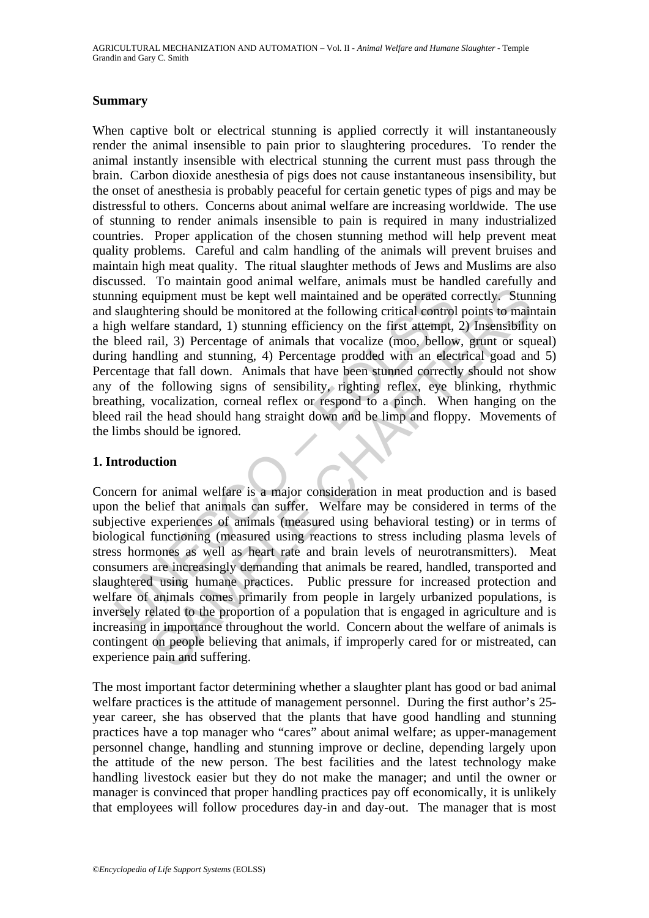### **Summary**

ning equipment must be kept well maintained and be operated c<br>slaughtering should be monitored at the following critical control<br>gh welfare standard, 1) stunning efficiency on the first attempt,<br>bleed rail, 3) Percentage o When captive bolt or electrical stunning is applied correctly it will instantaneously render the animal insensible to pain prior to slaughtering procedures. To render the animal instantly insensible with electrical stunning the current must pass through the brain. Carbon dioxide anesthesia of pigs does not cause instantaneous insensibility, but the onset of anesthesia is probably peaceful for certain genetic types of pigs and may be distressful to others. Concerns about animal welfare are increasing worldwide. The use of stunning to render animals insensible to pain is required in many industrialized countries. Proper application of the chosen stunning method will help prevent meat quality problems. Careful and calm handling of the animals will prevent bruises and maintain high meat quality. The ritual slaughter methods of Jews and Muslims are also discussed. To maintain good animal welfare, animals must be handled carefully and stunning equipment must be kept well maintained and be operated correctly. Stunning and slaughtering should be monitored at the following critical control points to maintain a high welfare standard, 1) stunning efficiency on the first attempt, 2) Insensibility on the bleed rail, 3) Percentage of animals that vocalize (moo, bellow, grunt or squeal) during handling and stunning, 4) Percentage prodded with an electrical goad and 5) Percentage that fall down. Animals that have been stunned correctly should not show any of the following signs of sensibility, righting reflex, eye blinking, rhythmic breathing, vocalization, corneal reflex or respond to a pinch. When hanging on the bleed rail the head should hang straight down and be limp and floppy. Movements of the limbs should be ignored.

## **1. Introduction**

quipment must be kept well maintained and be operated correctly. Stunning should be monitored at the following critical control points to maintained and be monitored at the following critical control points to maintarial, Concern for animal welfare is a major consideration in meat production and is based upon the belief that animals can suffer. Welfare may be considered in terms of the subjective experiences of animals (measured using behavioral testing) or in terms of biological functioning (measured using reactions to stress including plasma levels of stress hormones as well as heart rate and brain levels of neurotransmitters). Meat consumers are increasingly demanding that animals be reared, handled, transported and slaughtered using humane practices. Public pressure for increased protection and welfare of animals comes primarily from people in largely urbanized populations, is inversely related to the proportion of a population that is engaged in agriculture and is increasing in importance throughout the world. Concern about the welfare of animals is contingent on people believing that animals, if improperly cared for or mistreated, can experience pain and suffering.

The most important factor determining whether a slaughter plant has good or bad animal welfare practices is the attitude of management personnel. During the first author's 25 year career, she has observed that the plants that have good handling and stunning practices have a top manager who "cares" about animal welfare; as upper-management personnel change, handling and stunning improve or decline, depending largely upon the attitude of the new person. The best facilities and the latest technology make handling livestock easier but they do not make the manager; and until the owner or manager is convinced that proper handling practices pay off economically, it is unlikely that employees will follow procedures day-in and day-out. The manager that is most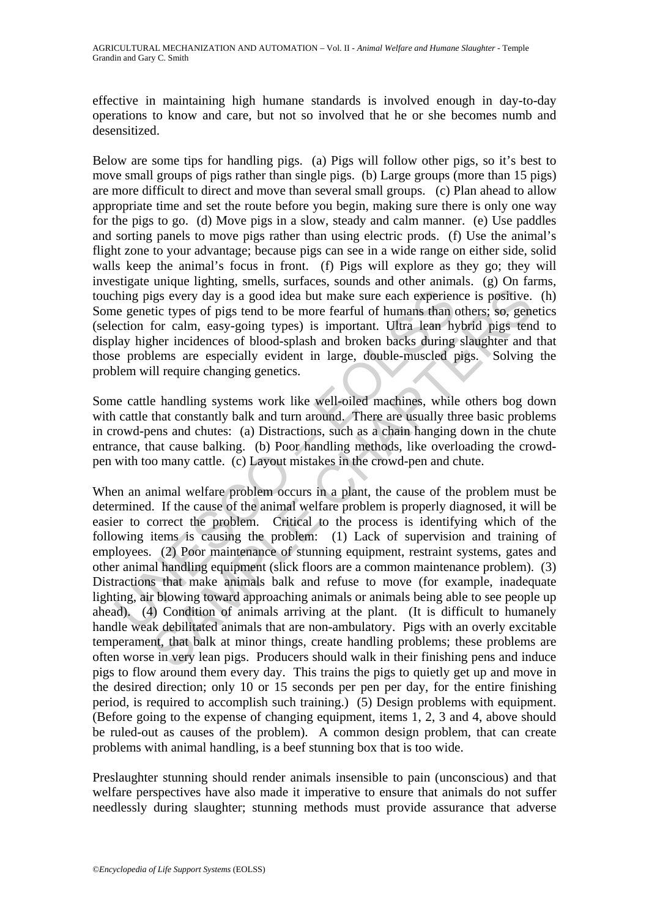effective in maintaining high humane standards is involved enough in day-to-day operations to know and care, but not so involved that he or she becomes numb and desensitized.

Below are some tips for handling pigs. (a) Pigs will follow other pigs, so it's best to move small groups of pigs rather than single pigs. (b) Large groups (more than 15 pigs) are more difficult to direct and move than several small groups. (c) Plan ahead to allow appropriate time and set the route before you begin, making sure there is only one way for the pigs to go. (d) Move pigs in a slow, steady and calm manner. (e) Use paddles and sorting panels to move pigs rather than using electric prods. (f) Use the animal's flight zone to your advantage; because pigs can see in a wide range on either side, solid walls keep the animal's focus in front. (f) Pigs will explore as they go; they will investigate unique lighting, smells, surfaces, sounds and other animals. (g) On farms, touching pigs every day is a good idea but make sure each experience is positive. (h) Some genetic types of pigs tend to be more fearful of humans than others; so, genetics (selection for calm, easy-going types) is important. Ultra lean hybrid pigs tend to display higher incidences of blood-splash and broken backs during slaughter and that those problems are especially evident in large, double-muscled pigs. Solving the problem will require changing genetics.

Some cattle handling systems work like well-oiled machines, while others bog down with cattle that constantly balk and turn around. There are usually three basic problems in crowd-pens and chutes: (a) Distractions, such as a chain hanging down in the chute entrance, that cause balking. (b) Poor handling methods, like overloading the crowdpen with too many cattle. (c) Layout mistakes in the crowd-pen and chute.

thing pigs every day is a good idea but make sure each experience genetic types of pigs tend to be more fearful of humans than (<br>exception for calm, easy-going types) is important. Ultra lean hy<br>lay higher incidences of bl igs every day is a good idea but make sure each experience is positive.<br>tic types of pigs tend to be more fearful of humans than others; so, gene<br>for calm, easy-going types) is important. Ultra lean hybrid pigs ten<br>ther in When an animal welfare problem occurs in a plant, the cause of the problem must be determined. If the cause of the animal welfare problem is properly diagnosed, it will be easier to correct the problem. Critical to the process is identifying which of the following items is causing the problem: (1) Lack of supervision and training of employees. (2) Poor maintenance of stunning equipment, restraint systems, gates and other animal handling equipment (slick floors are a common maintenance problem). (3) Distractions that make animals balk and refuse to move (for example, inadequate lighting, air blowing toward approaching animals or animals being able to see people up ahead). (4) Condition of animals arriving at the plant. (It is difficult to humanely handle weak debilitated animals that are non-ambulatory. Pigs with an overly excitable temperament, that balk at minor things, create handling problems; these problems are often worse in very lean pigs. Producers should walk in their finishing pens and induce pigs to flow around them every day. This trains the pigs to quietly get up and move in the desired direction; only 10 or 15 seconds per pen per day, for the entire finishing period, is required to accomplish such training.) (5) Design problems with equipment. (Before going to the expense of changing equipment, items 1, 2, 3 and 4, above should be ruled-out as causes of the problem). A common design problem, that can create problems with animal handling, is a beef stunning box that is too wide.

Preslaughter stunning should render animals insensible to pain (unconscious) and that welfare perspectives have also made it imperative to ensure that animals do not suffer needlessly during slaughter; stunning methods must provide assurance that adverse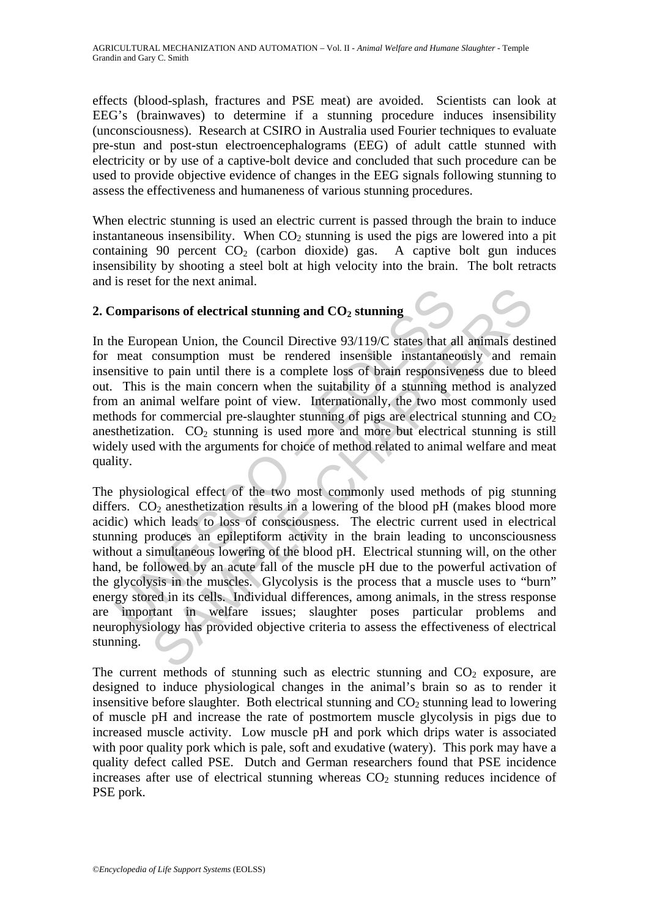effects (blood-splash, fractures and PSE meat) are avoided. Scientists can look at EEG's (brainwaves) to determine if a stunning procedure induces insensibility (unconsciousness). Research at CSIRO in Australia used Fourier techniques to evaluate pre-stun and post-stun electroencephalograms (EEG) of adult cattle stunned with electricity or by use of a captive-bolt device and concluded that such procedure can be used to provide objective evidence of changes in the EEG signals following stunning to assess the effectiveness and humaneness of various stunning procedures.

When electric stunning is used an electric current is passed through the brain to induce instantaneous insensibility. When  $CO<sub>2</sub>$  stunning is used the pigs are lowered into a pit containing 90 percent  $CO<sub>2</sub>$  (carbon dioxide) gas. A captive bolt gun induces insensibility by shooting a steel bolt at high velocity into the brain. The bolt retracts and is reset for the next animal.

## 2. Comparisons of electrical stunning and  $CO<sub>2</sub>$  stunning

In the European Union, the Council Directive 93/119/C states that all animals destined for meat consumption must be rendered insensible instantaneously and remain insensitive to pain until there is a complete loss of brain responsiveness due to bleed out. This is the main concern when the suitability of a stunning method is analyzed from an animal welfare point of view. Internationally, the two most commonly used methods for commercial pre-slaughter stunning of pigs are electrical stunning and  $CO<sub>2</sub>$ anesthetization.  $CO<sub>2</sub>$  stunning is used more and more but electrical stunning is still widely used with the arguments for choice of method related to animal welfare and meat quality.

**Example 15** and CO<sub>2</sub> stunning and CO<sub>2</sub> stunning<br>the European Union, the Council Directive 93/119/C states that a<br>meat consumption must be rendered insensible instantanee<br>mative to pain until there is a complete loss of **Example 18 and CO**<sub>2</sub> stunning and CO<sub>2</sub> stunning<br>
pean Union, the Council Directive 93/119/C states that all animals dest<br>
consumption must be rendered insensible instantaneously and rer<br>
to pain until there is a comple The physiological effect of the two most commonly used methods of pig stunning differs.  $CO<sub>2</sub>$  anesthetization results in a lowering of the blood pH (makes blood more acidic) which leads to loss of consciousness. The electric current used in electrical stunning produces an epileptiform activity in the brain leading to unconsciousness without a simultaneous lowering of the blood pH. Electrical stunning will, on the other hand, be followed by an acute fall of the muscle pH due to the powerful activation of the glycolysis in the muscles. Glycolysis is the process that a muscle uses to "burn" energy stored in its cells. Individual differences, among animals, in the stress response are important in welfare issues; slaughter poses particular problems and neurophysiology has provided objective criteria to assess the effectiveness of electrical stunning.

The current methods of stunning such as electric stunning and  $CO<sub>2</sub>$  exposure, are designed to induce physiological changes in the animal's brain so as to render it insensitive before slaughter. Both electrical stunning and  $CO<sub>2</sub>$  stunning lead to lowering of muscle pH and increase the rate of postmortem muscle glycolysis in pigs due to increased muscle activity. Low muscle pH and pork which drips water is associated with poor quality pork which is pale, soft and exudative (watery). This pork may have a quality defect called PSE. Dutch and German researchers found that PSE incidence increases after use of electrical stunning whereas  $CO<sub>2</sub>$  stunning reduces incidence of PSE pork.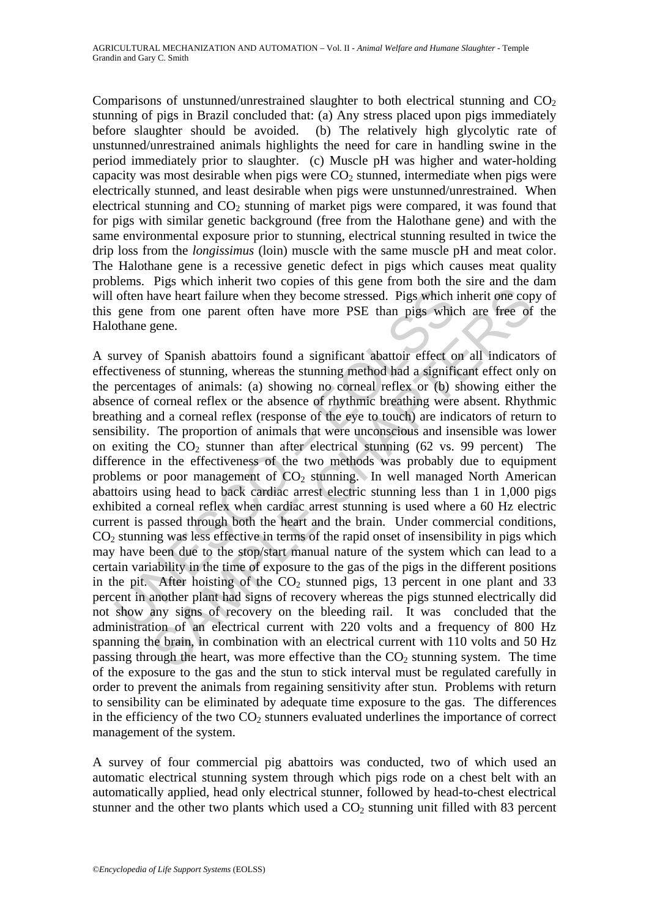Comparisons of unstunned/unrestrained slaughter to both electrical stunning and  $CO<sub>2</sub>$ stunning of pigs in Brazil concluded that: (a) Any stress placed upon pigs immediately before slaughter should be avoided. (b) The relatively high glycolytic rate of unstunned/unrestrained animals highlights the need for care in handling swine in the period immediately prior to slaughter. (c) Muscle pH was higher and water-holding capacity was most desirable when pigs were  $CO<sub>2</sub>$  stunned, intermediate when pigs were electrically stunned, and least desirable when pigs were unstunned/unrestrained. When electrical stunning and  $CO<sub>2</sub>$  stunning of market pigs were compared, it was found that for pigs with similar genetic background (free from the Halothane gene) and with the same environmental exposure prior to stunning, electrical stunning resulted in twice the drip loss from the *longissimus* (loin) muscle with the same muscle pH and meat color. The Halothane gene is a recessive genetic defect in pigs which causes meat quality problems. Pigs which inherit two copies of this gene from both the sire and the dam will often have heart failure when they become stressed. Pigs which inherit one copy of this gene from one parent often have more PSE than pigs which are free of the Halothane gene.

often have heart failure when they become stressed. Pigs which<br>gene from one parent often have more PSE than pigs whic<br>othane gene.<br>urvey of Spanish abattoirs found a significant abattoir effect o<br>cityeness of stunning, w have heart failure when they become stressed. Pigs which inherit one cop-<br>from one parent often have more PSE than pigs which inherit one cop-<br>from one parent often have more PSE than pigs which are free of-<br>gene.<br>Of Span A survey of Spanish abattoirs found a significant abattoir effect on all indicators of effectiveness of stunning, whereas the stunning method had a significant effect only on the percentages of animals: (a) showing no corneal reflex or (b) showing either the absence of corneal reflex or the absence of rhythmic breathing were absent. Rhythmic breathing and a corneal reflex (response of the eye to touch) are indicators of return to sensibility. The proportion of animals that were unconscious and insensible was lower on exiting the  $CO<sub>2</sub>$  stunner than after electrical stunning (62 vs. 99 percent) The difference in the effectiveness of the two methods was probably due to equipment problems or poor management of  $CO<sub>2</sub>$  stunning. In well managed North American abattoirs using head to back cardiac arrest electric stunning less than 1 in 1,000 pigs exhibited a corneal reflex when cardiac arrest stunning is used where a 60 Hz electric current is passed through both the heart and the brain. Under commercial conditions,  $CO<sub>2</sub>$  stunning was less effective in terms of the rapid onset of insensibility in pigs which may have been due to the stop/start manual nature of the system which can lead to a certain variability in the time of exposure to the gas of the pigs in the different positions in the pit. After hoisting of the  $CO<sub>2</sub>$  stunned pigs, 13 percent in one plant and 33 percent in another plant had signs of recovery whereas the pigs stunned electrically did not show any signs of recovery on the bleeding rail. It was concluded that the administration of an electrical current with 220 volts and a frequency of 800 Hz spanning the brain, in combination with an electrical current with 110 volts and 50 Hz passing through the heart, was more effective than the  $CO<sub>2</sub>$  stunning system. The time of the exposure to the gas and the stun to stick interval must be regulated carefully in order to prevent the animals from regaining sensitivity after stun. Problems with return to sensibility can be eliminated by adequate time exposure to the gas. The differences in the efficiency of the two  $CO<sub>2</sub>$  stunners evaluated underlines the importance of correct management of the system.

A survey of four commercial pig abattoirs was conducted, two of which used an automatic electrical stunning system through which pigs rode on a chest belt with an automatically applied, head only electrical stunner, followed by head-to-chest electrical stunner and the other two plants which used a  $CO<sub>2</sub>$  stunning unit filled with 83 percent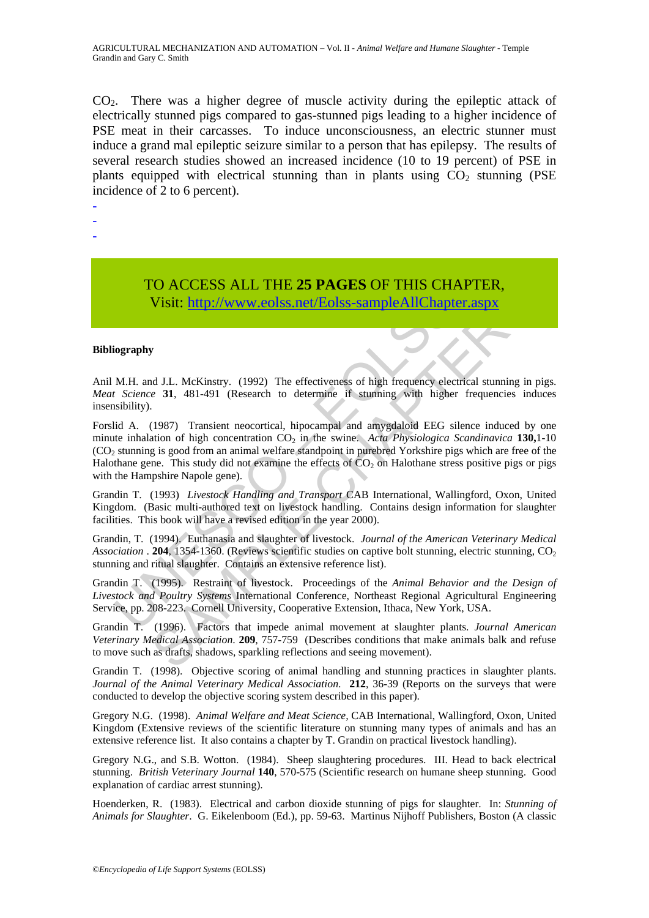CO2. There was a higher degree of muscle activity during the epileptic attack of electrically stunned pigs compared to gas-stunned pigs leading to a higher incidence of PSE meat in their carcasses. To induce unconsciousness, an electric stunner must induce a grand mal epileptic seizure similar to a person that has epilepsy. The results of several research studies showed an increased incidence (10 to 19 percent) of PSE in plants equipped with electrical stunning than in plants using  $CO<sub>2</sub>$  stunning (PSE incidence of 2 to 6 percent).

- -
- -
- -

## TO ACCESS ALL THE **25 PAGES** OF THIS CHAPTER, Visit: http://www.eolss.net/Eolss-sampleAllChapter.aspx

#### **Bibliography**

Anil M.H. and J.L. McKinstry. (1992) The effectiveness of high frequency electrical stunning in pigs. *Meat Science* **31**, 481-491 (Research to determine if stunning with higher frequencies induces insensibility).

**Visit:** http://www.eolss.net/Eolss-sampleAllChapture Visit: http://www.eolss.net/Eolss-sampleAllChapture (Visit: http://www.eolss.net/Eolss-sampleAllChapture is turning with higher orgraphy<br>
M.H. and J.L. McKinstry. (199 Visit: https://www.eolss.net/Eolss-sampleAllChapter.aspx<br>Visit: http://www.eolss.net/Eolss-sampleAllChapter.aspx<br>for the sample AllChapter as the sample of the same of the same of the same of the same of the same of the sa Forslid A. (1987) Transient neocortical, hipocampal and amygdaloid EEG silence induced by one minute inhalation of high concentration CO<sub>2</sub> in the swine. Acta Physiologica Scandinavica 130,1-10 (CO2 stunning is good from an animal welfare standpoint in purebred Yorkshire pigs which are free of the Halothane gene. This study did not examine the effects of  $CO<sub>2</sub>$  on Halothane stress positive pigs or pigs with the Hampshire Napole gene).

Grandin T. (1993) *Livestock Handling and Transport* CAB International, Wallingford, Oxon, United Kingdom. (Basic multi-authored text on livestock handling. Contains design information for slaughter facilities. This book will have a revised edition in the year 2000).

Grandin, T. (1994). Euthanasia and slaughter of livestock. *Journal of the American Veterinary Medical Association* . **204**, 1354-1360. (Reviews scientific studies on captive bolt stunning, electric stunning, CO<sub>2</sub> stunning and ritual slaughter. Contains an extensive reference list).

Grandin T. (1995). Restraint of livestock. Proceedings of the *Animal Behavior and the Design of Livestock and Poultry Systems* International Conference, Northeast Regional Agricultural Engineering Service, pp. 208-223. Cornell University, Cooperative Extension, Ithaca, New York, USA.

Grandin T. (1996). Factors that impede animal movement at slaughter plants. *Journal American Veterinary Medical Association*. **209**, 757-759 (Describes conditions that make animals balk and refuse to move such as drafts, shadows, sparkling reflections and seeing movement).

Grandin T. (1998). Objective scoring of animal handling and stunning practices in slaughter plants. *Journal of the Animal Veterinary Medical Association*. **212**, 36-39 (Reports on the surveys that were conducted to develop the objective scoring system described in this paper).

Gregory N.G. (1998). *Animal Welfare and Meat Science,* CAB International, Wallingford, Oxon, United Kingdom (Extensive reviews of the scientific literature on stunning many types of animals and has an extensive reference list. It also contains a chapter by T. Grandin on practical livestock handling).

Gregory N.G., and S.B. Wotton. (1984). Sheep slaughtering procedures. III. Head to back electrical stunning. *British Veterinary Journal* **140**, 570-575 (Scientific research on humane sheep stunning. Good explanation of cardiac arrest stunning).

Hoenderken, R. (1983). Electrical and carbon dioxide stunning of pigs for slaughter. In: *Stunning of Animals for Slaughter*. G. Eikelenboom (Ed.), pp. 59-63. Martinus Nijhoff Publishers, Boston (A classic